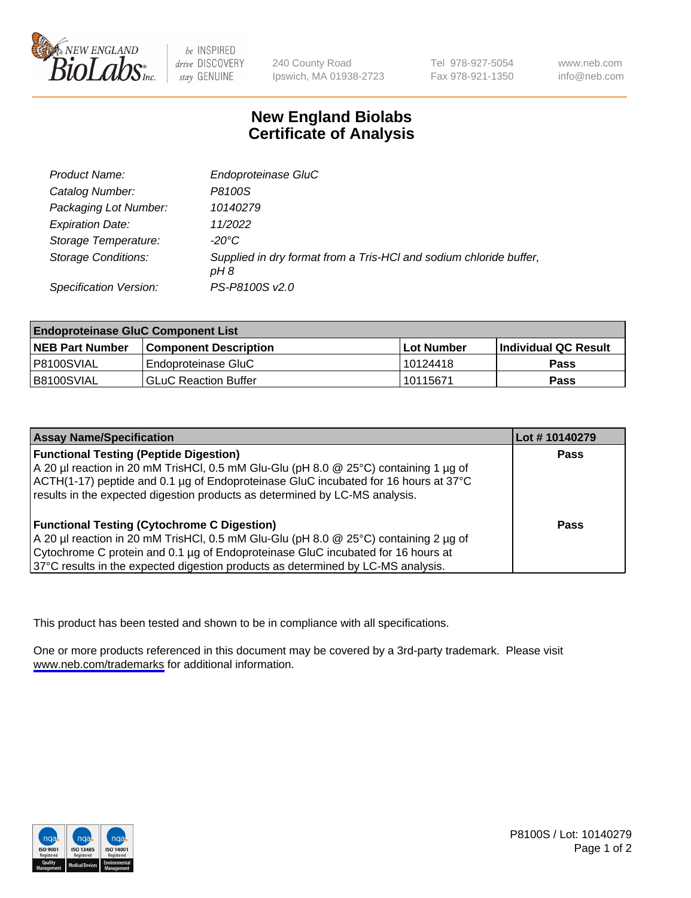

be INSPIRED drive DISCOVERY stay GENUINE

240 County Road Ipswich, MA 01938-2723 Tel 978-927-5054 Fax 978-921-1350

www.neb.com info@neb.com

## **New England Biolabs Certificate of Analysis**

| <b>Product Name:</b>       | Endoproteinase GluC                                                        |
|----------------------------|----------------------------------------------------------------------------|
| Catalog Number:            | P8100S                                                                     |
| Packaging Lot Number:      | 10140279                                                                   |
| <b>Expiration Date:</b>    | 11/2022                                                                    |
| Storage Temperature:       | $-20^{\circ}$ C                                                            |
| <b>Storage Conditions:</b> | Supplied in dry format from a Tris-HCI and sodium chloride buffer,<br>pH 8 |
| Specification Version:     | PS-P8100S v2.0                                                             |

| <b>Endoproteinase GluC Component List</b> |                              |            |                       |  |
|-------------------------------------------|------------------------------|------------|-----------------------|--|
| <b>NEB Part Number</b>                    | <b>Component Description</b> | Lot Number | ∣Individual QC Result |  |
| I P8100SVIAL                              | Endoproteinase GluC          | 10124418   | Pass                  |  |
| B8100SVIAL                                | <b>GLuC Reaction Buffer</b>  | 10115671   | Pass                  |  |

| <b>Assay Name/Specification</b>                                                      | Lot #10140279 |
|--------------------------------------------------------------------------------------|---------------|
| <b>Functional Testing (Peptide Digestion)</b>                                        | <b>Pass</b>   |
| A 20 µl reaction in 20 mM TrisHCl, 0.5 mM Glu-Glu (pH 8.0 @ 25°C) containing 1 µg of |               |
| ACTH(1-17) peptide and 0.1 µg of Endoproteinase GluC incubated for 16 hours at 37°C  |               |
| results in the expected digestion products as determined by LC-MS analysis.          |               |
| <b>Functional Testing (Cytochrome C Digestion)</b>                                   | Pass          |
| A 20 µl reaction in 20 mM TrisHCl, 0.5 mM Glu-Glu (pH 8.0 @ 25°C) containing 2 µg of |               |
| Cytochrome C protein and 0.1 µg of Endoproteinase GluC incubated for 16 hours at     |               |
| 37°C results in the expected digestion products as determined by LC-MS analysis.     |               |

This product has been tested and shown to be in compliance with all specifications.

One or more products referenced in this document may be covered by a 3rd-party trademark. Please visit <www.neb.com/trademarks>for additional information.